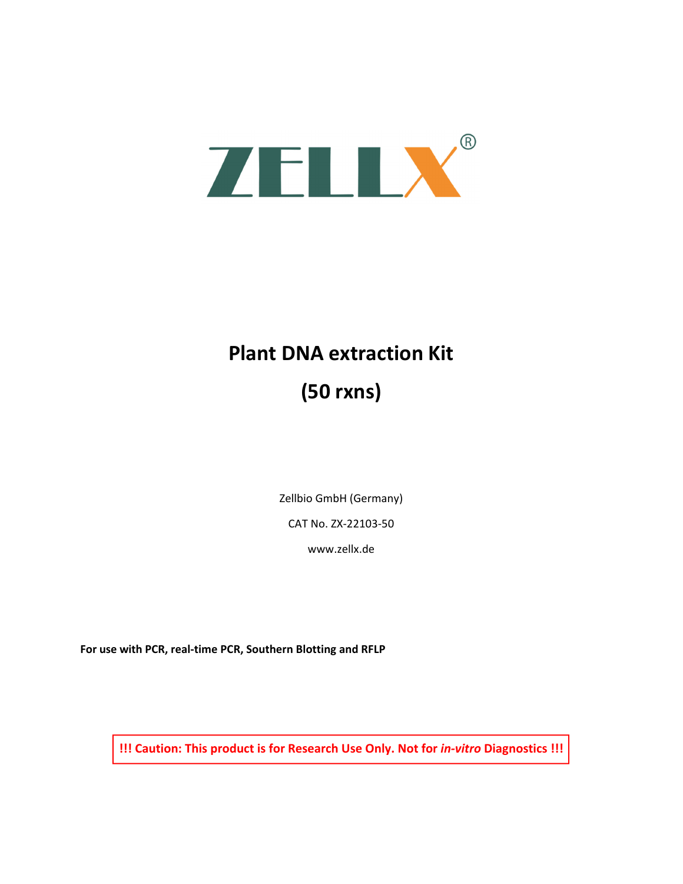

# **Plant DNA extraction Kit (50 rxns)**

Zellbio GmbH (Germany)

CAT No. ZX‐22103‐50

www.zellx.de

**For use with PCR, real‐time PCR, Southern Blotting and RFLP** 

**!!! Caution: This product is for Research Use Only. Not for** *in‐vitro* **Diagnostics !!!**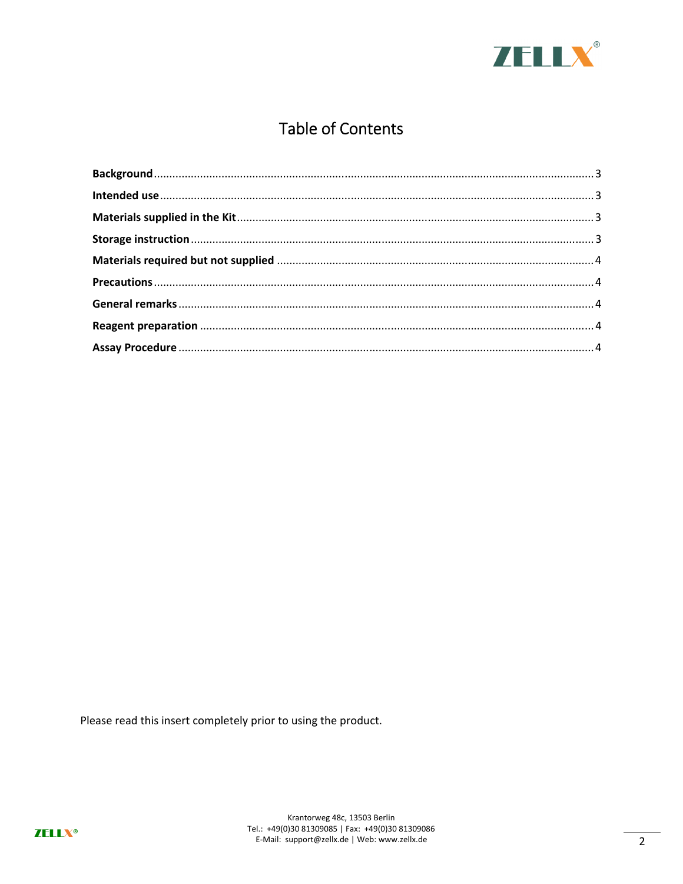

# **Table of Contents**

Please read this insert completely prior to using the product.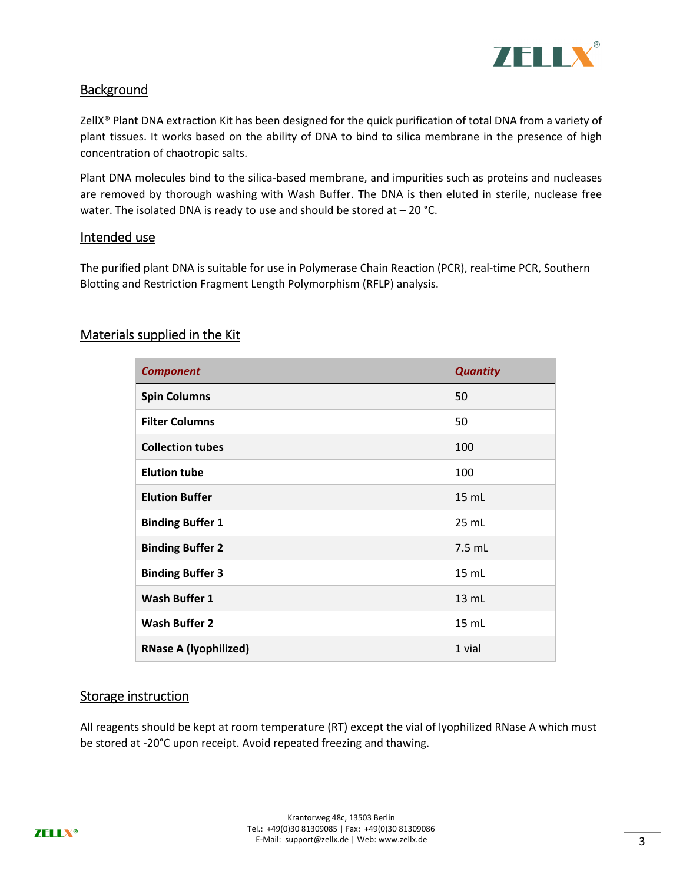

# **Background**

ZellX® Plant DNA extraction Kit has been designed for the quick purification of total DNA from a variety of plant tissues. It works based on the ability of DNA to bind to silica membrane in the presence of high concentration of chaotropic salts.

Plant DNA molecules bind to the silica-based membrane, and impurities such as proteins and nucleases are removed by thorough washing with Wash Buffer. The DNA is then eluted in sterile, nuclease free water. The isolated DNA is ready to use and should be stored at  $-20$  °C.

#### Intended use

The purified plant DNA is suitable for use in Polymerase Chain Reaction (PCR), real-time PCR, Southern Blotting and Restriction Fragment Length Polymorphism (RFLP) analysis.

# Materials supplied in the Kit

| <b>Component</b>             | <b>Quantity</b> |
|------------------------------|-----------------|
| <b>Spin Columns</b>          | 50              |
| <b>Filter Columns</b>        | 50              |
| <b>Collection tubes</b>      | 100             |
| <b>Elution tube</b>          | 100             |
| <b>Elution Buffer</b>        | 15 mL           |
| <b>Binding Buffer 1</b>      | 25 mL           |
| <b>Binding Buffer 2</b>      | 7.5 mL          |
| <b>Binding Buffer 3</b>      | 15 mL           |
| <b>Wash Buffer 1</b>         | 13 mL           |
| <b>Wash Buffer 2</b>         | $15$ mL         |
| <b>RNase A (lyophilized)</b> | 1 vial          |

# Storage instruction

All reagents should be kept at room temperature (RT) except the vial of lyophilized RNase A which must be stored at ‐20°C upon receipt. Avoid repeated freezing and thawing.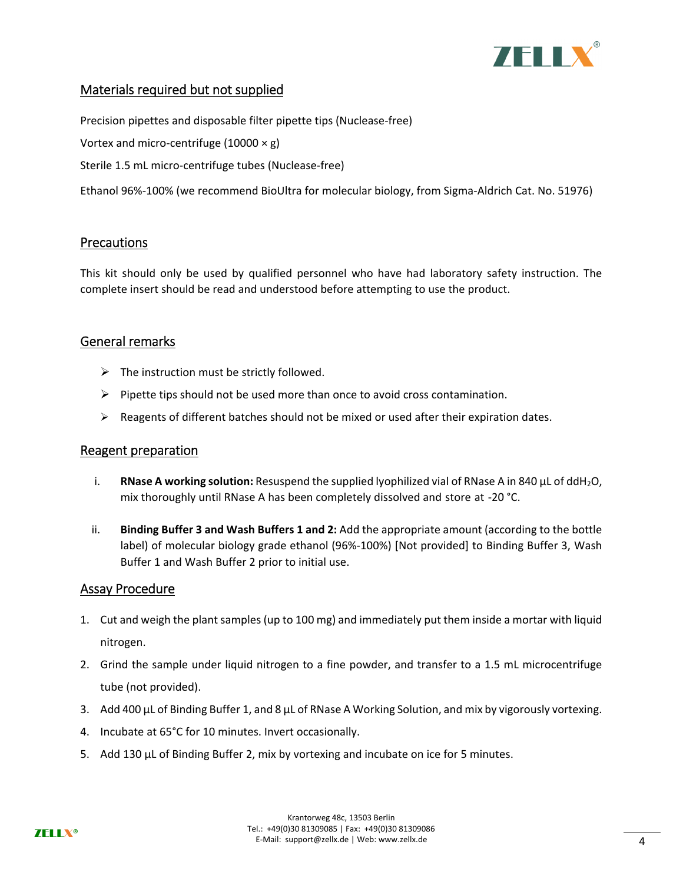

# Materials required but not supplied

Precision pipettes and disposable filter pipette tips (Nuclease‐free) Vortex and micro-centrifuge (10000  $\times$  g) Sterile 1.5 mL micro‐centrifuge tubes (Nuclease‐free) Ethanol 96%‐100% (we recommend BioUltra for molecular biology, from Sigma‐Aldrich Cat. No. 51976)

# **Precautions**

This kit should only be used by qualified personnel who have had laboratory safety instruction. The complete insert should be read and understood before attempting to use the product.

# General remarks

- $\triangleright$  The instruction must be strictly followed.
- $\triangleright$  Pipette tips should not be used more than once to avoid cross contamination.
- $\triangleright$  Reagents of different batches should not be mixed or used after their expiration dates.

# Reagent preparation

- i. **RNase A working solution:** Resuspend the supplied lyophilized vial of RNase A in 840 µL of ddH<sub>2</sub>O, mix thoroughly until RNase A has been completely dissolved and store at ‐20 °C.
- ii. **Binding Buffer 3 and Wash Buffers 1 and 2:** Add the appropriate amount (according to the bottle label) of molecular biology grade ethanol (96%‐100%) [Not provided] to Binding Buffer 3, Wash Buffer 1 and Wash Buffer 2 prior to initial use.

# Assay Procedure

- 1. Cut and weigh the plant samples (up to 100 mg) and immediately put them inside a mortar with liquid nitrogen.
- 2. Grind the sample under liquid nitrogen to a fine powder, and transfer to a 1.5 mL microcentrifuge tube (not provided).
- 3. Add 400 μL of Binding Buffer 1, and 8 μL of RNase A Working Solution, and mix by vigorously vortexing.
- 4. Incubate at 65°C for 10 minutes. Invert occasionally.
- 5. Add 130 μL of Binding Buffer 2, mix by vortexing and incubate on ice for 5 minutes.